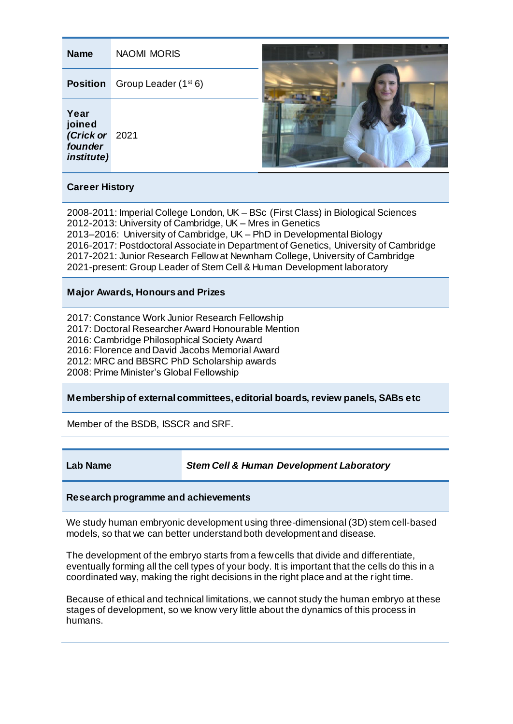| <b>Name</b>                                                                                                                                                                                                                                                                                                                                                                                                                                                                | <b>NAOMI MORIS</b>               |  |  |
|----------------------------------------------------------------------------------------------------------------------------------------------------------------------------------------------------------------------------------------------------------------------------------------------------------------------------------------------------------------------------------------------------------------------------------------------------------------------------|----------------------------------|--|--|
| <b>Position</b>                                                                                                                                                                                                                                                                                                                                                                                                                                                            | Group Leader (1 <sup>st</sup> 6) |  |  |
| Year<br>joined<br>(Crick or<br>founder<br><i>institute)</i>                                                                                                                                                                                                                                                                                                                                                                                                                | 2021                             |  |  |
| <b>Career History</b>                                                                                                                                                                                                                                                                                                                                                                                                                                                      |                                  |  |  |
| 2008-2011: Imperial College London, UK - BSc (First Class) in Biological Sciences<br>2012-2013: University of Cambridge, UK - Mres in Genetics<br>2013-2016: University of Cambridge, UK - PhD in Developmental Biology<br>2016-2017: Postdoctoral Associate in Department of Genetics, University of Cambridge<br>2017-2021: Junior Research Fellow at Newnham College, University of Cambridge<br>2021-present: Group Leader of Stem Cell & Human Development laboratory |                                  |  |  |
| <b>Major Awards, Honours and Prizes</b>                                                                                                                                                                                                                                                                                                                                                                                                                                    |                                  |  |  |
| 2017: Constance Work Junior Research Fellowship<br>2017: Doctoral Researcher Award Honourable Mention<br>2016: Cambridge Philosophical Society Award<br>2016: Florence and David Jacobs Memorial Award<br>2012: MRC and BBSRC PhD Scholarship awards<br>2008: Prime Minister's Global Fellowship                                                                                                                                                                           |                                  |  |  |
| Membership of external committees, editorial boards, review panels, SABs etc                                                                                                                                                                                                                                                                                                                                                                                               |                                  |  |  |
| Member of the BSDB, ISSCR and SRF.                                                                                                                                                                                                                                                                                                                                                                                                                                         |                                  |  |  |

**Lab Name** *Stem Cell & Human Development Laboratory*

# **Research programme and achievements**

We study human embryonic development using three-dimensional (3D) stem cell-based models, so that we can better understand both development and disease.

The development of the embryo starts from a few cells that divide and differentiate, eventually forming all the cell types of your body. It is important that the cells do this in a coordinated way, making the right decisions in the right place and at the right time.

Because of ethical and technical limitations, we cannot study the human embryo at these stages of development, so we know very little about the dynamics of this process in humans.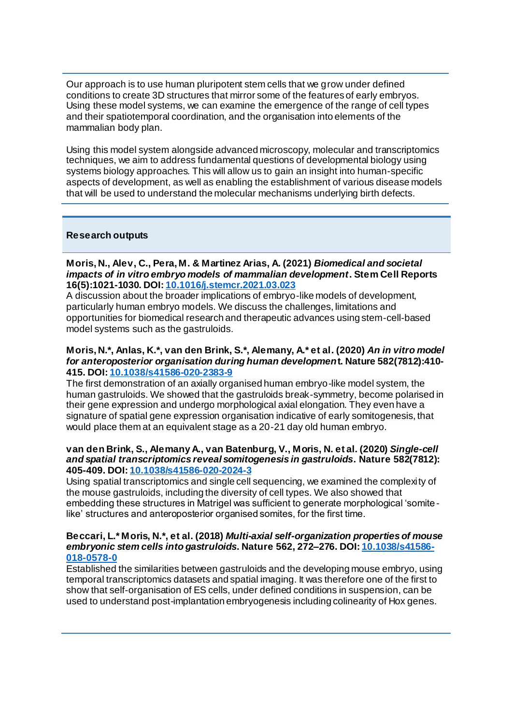Our approach is to use human pluripotent stem cells that we grow under defined conditions to create 3D structures that mirror some of the features of early embryos. Using these model systems, we can examine the emergence of the range of cell types and their spatiotemporal coordination, and the organisation into elements of the mammalian body plan.

Using this model system alongside advanced microscopy, molecular and transcriptomics techniques, we aim to address fundamental questions of developmental biology using systems biology approaches. This will allow us to gain an insight into human-specific aspects of development, as well as enabling the establishment of various disease models that will be used to understand the molecular mechanisms underlying birth defects.

# **Research outputs**

#### **Moris, N., Alev, C., Pera, M. & Martinez Arias, A. (2021)** *Biomedical and societal impacts of in vitro embryo models of mammalian development***. Stem Cell Reports 16(5):1021-1030. DOI: [10.1016/j.stemcr.2021.03.023](https://doi.org/10.1016/j.stemcr.2021.03.023)**

A discussion about the broader implications of embryo-like models of development, particularly human embryo models. We discuss the challenges, limitations and opportunities for biomedical research and therapeutic advances using stem-cell-based model systems such as the gastruloids.

## **Moris, N.\*, Anlas, K.\*, van den Brink, S.\*, Alemany, A.\* et al. (2020)** *An in vitro model for anteroposterior organisation during human developmen***t. Nature 582(7812):410- 415. DOI: [10.1038/s41586-020-2383-9](https://doi.org/10.1038/s41586-020-2383-9)**

The first demonstration of an axially organised human embryo-like model system, the human gastruloids. We showed that the gastruloids break-symmetry, become polarised in their gene expression and undergo morphological axial elongation. They even have a signature of spatial gene expression organisation indicative of early somitogenesis, that would place them at an equivalent stage as a 20-21 day old human embryo.

#### **van den Brink, S., Alemany A., van Batenburg, V., Moris, N. et al. (2020)** *Single-cell and spatial transcriptomics reveal somitogenesis in gastruloids***. Nature 582(7812): 405-409. DOI[: 10.1038/s41586-020-2024-3](https://doi.org/10.1038/s41586-020-2024-3)**

Using spatial transcriptomics and single cell sequencing, we examined the complexity of the mouse gastruloids, including the diversity of cell types. We also showed that embedding these structures in Matrigel was sufficient to generate morphological 'somitelike' structures and anteroposterior organised somites, for the first time.

### **Beccari, L.\* Moris, N.\*, et al. (2018)** *Multi-axial self-organization properties of mouse embryonic stem cells into gastruloids***. Nature 562, 272–276. DOI[: 10.1038/s41586-](https://doi.org/10.1038/s41586-018-0578-0) [018-0578-0](https://doi.org/10.1038/s41586-018-0578-0)**

Established the similarities between gastruloids and the developing mouse embryo, using temporal transcriptomics datasets and spatial imaging. It was therefore one of the first to show that self-organisation of ES cells, under defined conditions in suspension, can be used to understand post-implantation embryogenesis including colinearity of Hox genes.